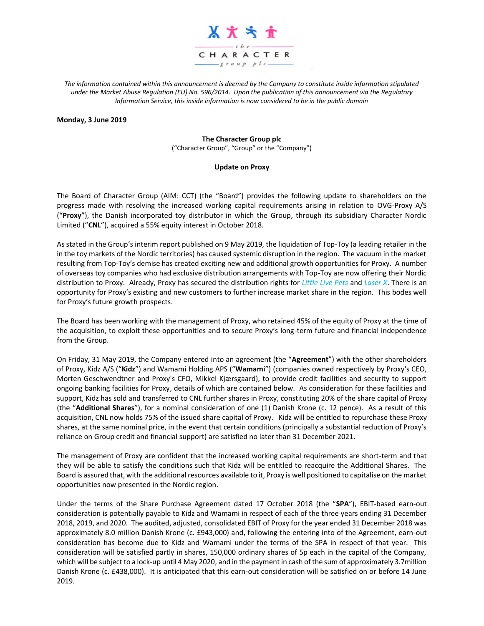

*The information contained within this announcement is deemed by the Company to constitute inside information stipulated under the Market Abuse Regulation (EU) No. 596/2014. Upon the publication of this announcement via the Regulatory Information Service, this inside information is now considered to be in the public domain*

#### **Monday, 3 June 2019**

### **The Character Group plc**

("Character Group", "Group" or the "Company")

### **Update on Proxy**

The Board of Character Group (AIM: CCT) (the "Board") provides the following update to shareholders on the progress made with resolving the increased working capital requirements arising in relation to OVG-Proxy A/S ("**Proxy**"), the Danish incorporated toy distributor in which the Group, through its subsidiary Character Nordic Limited ("**CNL**"), acquired a 55% equity interest in October 2018.

As stated in the Group's interim report published on 9 May 2019, the liquidation of Top-Toy (a leading retailer in the in the toy markets of the Nordic territories) has caused systemic disruption in the region. The vacuum in the market resulting from Top-Toy's demise has created exciting new and additional growth opportunities for Proxy. A number of overseas toy companies who had exclusive distribution arrangements with Top-Toy are now offering their Nordic distribution to Proxy. Already, Proxy has secured the distribution rights for *Little Live Pets* and *Laser X*. There is an opportunity for Proxy's existing and new customers to further increase market share in the region. This bodes well for Proxy's future growth prospects.

The Board has been working with the management of Proxy, who retained 45% of the equity of Proxy at the time of the acquisition, to exploit these opportunities and to secure Proxy's long-term future and financial independence from the Group.

On Friday, 31 May 2019, the Company entered into an agreement (the "**Agreement**") with the other shareholders of Proxy, Kidz A/S ("**Kidz**") and Wamami Holding APS ("**Wamami**") (companies owned respectively by Proxy's CEO, Morten Geschwendtner and Proxy's CFO, Mikkel Kjærsgaard), to provide credit facilities and security to support ongoing banking facilities for Proxy, details of which are contained below. As consideration for these facilities and support, Kidz has sold and transferred to CNL further shares in Proxy, constituting 20% of the share capital of Proxy (the "**Additional Shares**"), for a nominal consideration of one (1) Danish Krone (c. 12 pence). As a result of this acquisition, CNL now holds 75% of the issued share capital of Proxy. Kidz will be entitled to repurchase these Proxy shares, at the same nominal price, in the event that certain conditions (principally a substantial reduction of Proxy's reliance on Group credit and financial support) are satisfied no later than 31 December 2021.

The management of Proxy are confident that the increased working capital requirements are short-term and that they will be able to satisfy the conditions such that Kidz will be entitled to reacquire the Additional Shares. The Board is assured that, with the additional resources available to it, Proxy is well positioned to capitalise on the market opportunities now presented in the Nordic region.

Under the terms of the Share Purchase Agreement dated 17 October 2018 (the "**SPA**"), EBIT-based earn-out consideration is potentially payable to Kidz and Wamami in respect of each of the three years ending 31 December 2018, 2019, and 2020. The audited, adjusted, consolidated EBIT of Proxy for the year ended 31 December 2018 was approximately 8.0 million Danish Krone (c. £943,000) and, following the entering into of the Agreement, earn-out consideration has become due to Kidz and Wamami under the terms of the SPA in respect of that year. This consideration will be satisfied partly in shares, 150,000 ordinary shares of 5p each in the capital of the Company, which will be subject to a lock-up until 4 May 2020, and in the payment in cash of the sum of approximately 3.7million Danish Krone (c. £438,000). It is anticipated that this earn-out consideration will be satisfied on or before 14 June 2019.